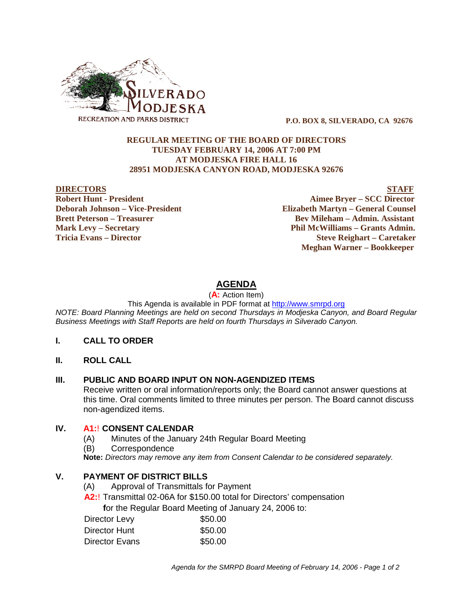

 **P.O. BOX 8, SILVERADO, CA 92676**

## **REGULAR MEETING OF THE BOARD OF DIRECTORS TUESDAY FEBRUARY 14, 2006 AT 7:00 PM AT MODJESKA FIRE HALL 16 28951 MODJESKA CANYON ROAD, MODJESKA 92676**

**Robert Hunt - President Aimee Bryer – SCC Director Deborah Johnson – Vice-President Elizabeth Martyn – General Counsel Brett Peterson – Treasurer Serverson – Bev Mileham – Admin. Assistant Mark Levy – Secretary Phil McWilliams – Grants Admin. Tricia Evans – Director Steve Reighart – Caretaker**

**DIRECTORS STAFF**

 **Meghan Warner – Bookkeeper**

# **AGENDA**

(**A:** Action Item)

This Agenda is available in PDF format at http://www.smrpd.org

*NOTE: Board Planning Meetings are held on second Thursdays in Modjeska Canyon, and Board Regular Business Meetings with Staff Reports are held on fourth Thursdays in Silverado Canyon.*

## **I. CALL TO ORDER**

**II. ROLL CALL**

## **III. PUBLIC AND BOARD INPUT ON NON-AGENDIZED ITEMS**

Receive written or oral information/reports only; the Board cannot answer questions at this time. Oral comments limited to three minutes per person. The Board cannot discuss non-agendized items.

## **IV. A1:**! **CONSENT CALENDAR**

- (A) Minutes of the January 24th Regular Board Meeting
- (B) Correspondence

**Note:** *Directors may remove any item from Consent Calendar to be considered separately.*

# **V. PAYMENT OF DISTRICT BILLS**

- (A) Approval of Transmittals for Payment
- **A2:**! Transmittal 02-06A for \$150.00 total for Directors' compensation

 **f**or the Regular Board Meeting of January 24, 2006 to:

| Director Levy  | \$50.00 |
|----------------|---------|
| Director Hunt  | \$50.00 |
| Director Evans | \$50.00 |